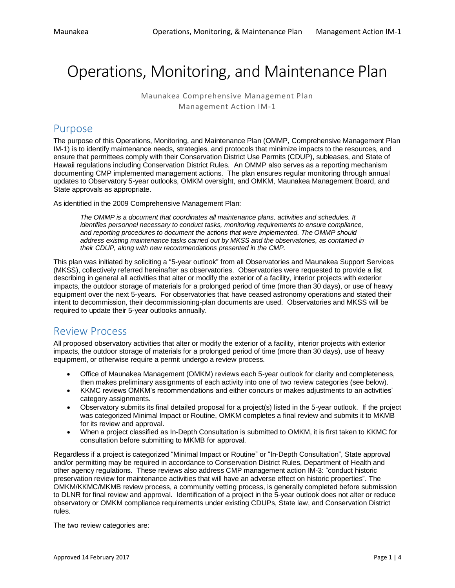# Operations, Monitoring, and Maintenance Plan

Maunakea Comprehensive Management Plan Management Action IM-1

### Purpose

The purpose of this Operations, Monitoring, and Maintenance Plan (OMMP, Comprehensive Management Plan IM-1) is to identify maintenance needs, strategies, and protocols that minimize impacts to the resources, and ensure that permittees comply with their Conservation District Use Permits (CDUP), subleases, and State of Hawaii regulations including Conservation District Rules. An OMMP also serves as a reporting mechanism documenting CMP implemented management actions. The plan ensures regular monitoring through annual updates to Observatory 5-year outlooks, OMKM oversight, and OMKM, Maunakea Management Board, and State approvals as appropriate.

As identified in the 2009 Comprehensive Management Plan:

*The OMMP is a document that coordinates all maintenance plans, activities and schedules. It identifies personnel necessary to conduct tasks, monitoring requirements to ensure compliance, and reporting procedures to document the actions that were implemented. The OMMP should address existing maintenance tasks carried out by MKSS and the observatories, as contained in their CDUP, along with new recommendations presented in the CMP.*

This plan was initiated by soliciting a "5-year outlook" from all Observatories and Maunakea Support Services (MKSS), collectively referred hereinafter as observatories. Observatories were requested to provide a list describing in general all activities that alter or modify the exterior of a facility, interior projects with exterior impacts, the outdoor storage of materials for a prolonged period of time (more than 30 days), or use of heavy equipment over the next 5-years. For observatories that have ceased astronomy operations and stated their intent to decommission, their decommissioning-plan documents are used. Observatories and MKSS will be required to update their 5-year outlooks annually.

## Review Process

All proposed observatory activities that alter or modify the exterior of a facility, interior projects with exterior impacts, the outdoor storage of materials for a prolonged period of time (more than 30 days), use of heavy equipment, or otherwise require a permit undergo a review process.

- Office of Maunakea Management (OMKM) reviews each 5-year outlook for clarity and completeness, then makes preliminary assignments of each activity into one of two review categories (see below).
- KKMC reviews OMKM's recommendations and either concurs or makes adjustments to an activities' category assignments.
- Observatory submits its final detailed proposal for a project(s) listed in the 5-year outlook. If the project was categorized Minimal Impact or Routine, OMKM completes a final review and submits it to MKMB for its review and approval.
- When a project classified as In-Depth Consultation is submitted to OMKM, it is first taken to KKMC for consultation before submitting to MKMB for approval.

Regardless if a project is categorized "Minimal Impact or Routine" or "In-Depth Consultation", State approval and/or permitting may be required in accordance to Conservation District Rules, Department of Health and other agency regulations. These reviews also address CMP management action IM-3: "conduct historic preservation review for maintenance activities that will have an adverse effect on historic properties". The OMKM/KKMC/MKMB review process, a community vetting process, is generally completed before submission to DLNR for final review and approval. Identification of a project in the 5-year outlook does not alter or reduce observatory or OMKM compliance requirements under existing CDUPs, State law, and Conservation District rules.

The two review categories are: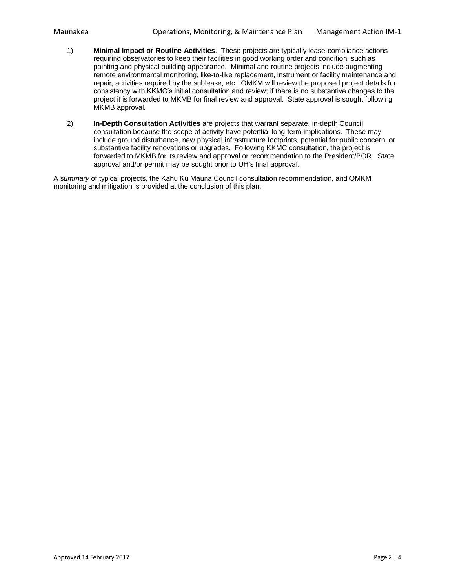- 1) **Minimal Impact or Routine Activities**. These projects are typically lease-compliance actions requiring observatories to keep their facilities in good working order and condition, such as painting and physical building appearance. Minimal and routine projects include augmenting remote environmental monitoring, like-to-like replacement, instrument or facility maintenance and repair, activities required by the sublease, etc. OMKM will review the proposed project details for consistency with KKMC's initial consultation and review; if there is no substantive changes to the project it is forwarded to MKMB for final review and approval. State approval is sought following MKMB approval.
- 2) **In-Depth Consultation Activities** are projects that warrant separate, in-depth Council consultation because the scope of activity have potential long-term implications. These may include ground disturbance, new physical infrastructure footprints, potential for public concern, or substantive facility renovations or upgrades. Following KKMC consultation, the project is forwarded to MKMB for its review and approval or recommendation to the President/BOR. State approval and/or permit may be sought prior to UH's final approval.

A s*ummary* of typical projects, the Kahu Kū Mauna Council consultation recommendation, and OMKM monitoring and mitigation is provided at the conclusion of this plan.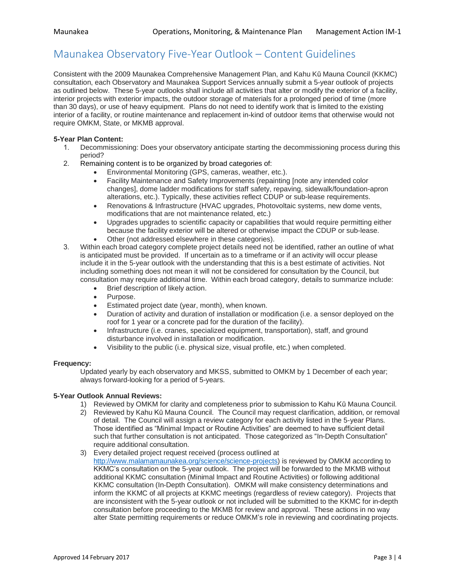## Maunakea Observatory Five-Year Outlook – Content Guidelines

Consistent with the 2009 Maunakea Comprehensive Management Plan, and Kahu Kū Mauna Council (KKMC) consultation, each Observatory and Maunakea Support Services annually submit a 5-year outlook of projects as outlined below. These 5-year outlooks shall include all activities that alter or modify the exterior of a facility, interior projects with exterior impacts, the outdoor storage of materials for a prolonged period of time (more than 30 days), or use of heavy equipment. Plans do not need to identify work that is limited to the existing interior of a facility, or routine maintenance and replacement in-kind of outdoor items that otherwise would not require OMKM, State, or MKMB approval.

#### **5-Year Plan Content:**

- 1. Decommissioning: Does your observatory anticipate starting the decommissioning process during this period?
- 2. Remaining content is to be organized by broad categories of:
	- Environmental Monitoring (GPS, cameras, weather, etc.).
	- Facility Maintenance and Safety Improvements (repainting [note any intended color changes], dome ladder modifications for staff safety, repaving, sidewalk/foundation-apron alterations, etc.). Typically, these activities reflect CDUP or sub-lease requirements.
	- Renovations & Infrastructure (HVAC upgrades, Photovoltaic systems, new dome vents, modifications that are not maintenance related, etc.)
	- Upgrades upgrades to scientific capacity or capabilities that would require permitting either because the facility exterior will be altered or otherwise impact the CDUP or sub-lease.
	- Other (not addressed elsewhere in these categories).
- 3. Within each broad category complete project details need not be identified, rather an outline of what is anticipated must be provided. If uncertain as to a timeframe or if an activity will occur please include it in the 5-year outlook with the understanding that this is a best estimate of activities. Not including something does not mean it will not be considered for consultation by the Council, but consultation may require additional time. Within each broad category, details to summarize include:
	- Brief description of likely action.
	- Purpose.
	- Estimated project date (year, month), when known.
	- Duration of activity and duration of installation or modification (i.e. a sensor deployed on the roof for 1 year or a concrete pad for the duration of the facility).
	- Infrastructure (i.e. cranes, specialized equipment, transportation), staff, and ground disturbance involved in installation or modification.
	- Visibility to the public (i.e. physical size, visual profile, etc.) when completed.

#### **Frequency:**

Updated yearly by each observatory and MKSS, submitted to OMKM by 1 December of each year; always forward-looking for a period of 5-years.

#### **5-Year Outlook Annual Reviews:**

- 1) Reviewed by OMKM for clarity and completeness prior to submission to Kahu Kū Mauna Council.
- 2) Reviewed by Kahu Kū Mauna Council. The Council may request clarification, addition, or removal of detail. The Council will assign a review category for each activity listed in the 5-year Plans. Those identified as "Minimal Impact or Routine Activities" are deemed to have sufficient detail such that further consultation is not anticipated. Those categorized as "In-Depth Consultation" require additional consultation.
- 3) Every detailed project request received (process outlined at [http://www.malamamaunakea.org/science/science-projects\)](http://www.malamamaunakea.org/science/science-projects) is reviewed by OMKM according to KKMC's consultation on the 5-year outlook. The project will be forwarded to the MKMB without additional KKMC consultation (Minimal Impact and Routine Activities) or following additional KKMC consultation (In-Depth Consultation). OMKM will make consistency determinations and inform the KKMC of all projects at KKMC meetings (regardless of review category). Projects that are inconsistent with the 5-year outlook or not included will be submitted to the KKMC for in-depth consultation before proceeding to the MKMB for review and approval. These actions in no way alter State permitting requirements or reduce OMKM's role in reviewing and coordinating projects.